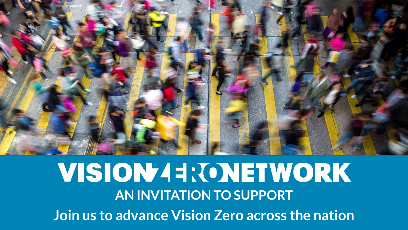

## VISION43: *CONETWORK* **AN INVITATION TO SUPPORT Join us to advance Vision Zero across the nation**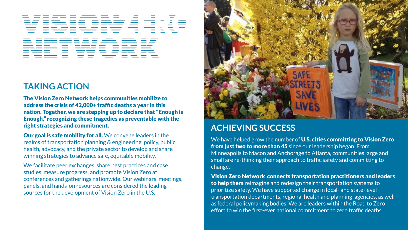# VISIDN

NETWORK

#### **TAKING ACTION**

The Vision Zero Network helps communities mobilize to address the crisis of 42,000+ traffic deaths a year in this nation. Together, we are stepping up to declare that "Enough is Enough," recognizing these tragedies as preventable with the right strategies and commitment.

Our goal is safe mobility for all. We convene leaders in the realms of transportation planning & engineering, policy, public health, advocacy, and the private sector to develop and share winning strategies to advance safe, equitable mobility.

We facilitate peer exchanges, share best practices and case studies, measure progress, and promote Vision Zero at conferences and gatherings nationwide. Our webinars, meetings, panels, and hands-on resources are considered the leading sources for the development of Vision Zero in the U.S.



#### **ACHIEVING SUCCESS**

We have helped grow the number of U.S. cities committing to Vision Zero from just two to more than 45 since our leadership began. From Minneapolis to Macon and Anchorage to Atlanta, communities large and small are re-thinking their approach to traffic safety and committing to change.

Vision Zero Network connects transportation practitioners and leaders to help them reimagine and redesign their transportation systems to prioritize safety. We have supported change in local- and state-level transportation departments, regional health and planning agencies, as well as federal policymaking bodies. We are leaders within the Road to Zero effort to win the first-ever national commitment to zero traffic deaths.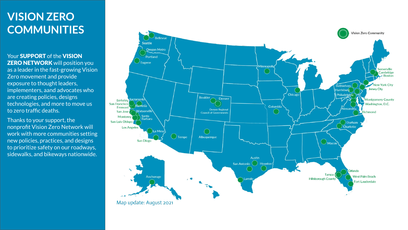#### **VISION ZERO COMMUNITIES**

Your SUPPORT of the VISION **ZERO NETWORK** will position you as a leader in the fast-growing Vision Zero movement and provide exposure to thought leaders, implementers, aand advocates who are creating policies, designs technologies, and more to move us to zero traffic deaths.

Thanks to your support, the nonprofit Vision Zero Network will work with more communities setting new policies, practices, and designs to prioritize safety on our roadways, sidewalks, and bikeways nationwide.